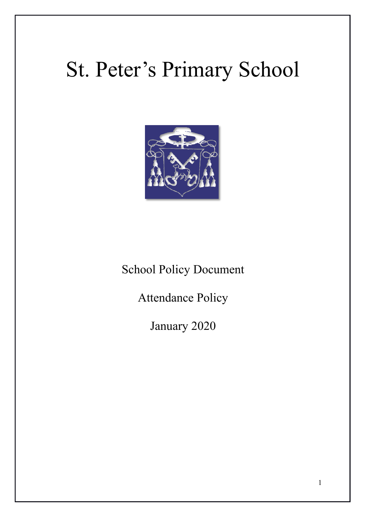# St. Peter's Primary School



School Policy Document

Attendance Policy

January 2020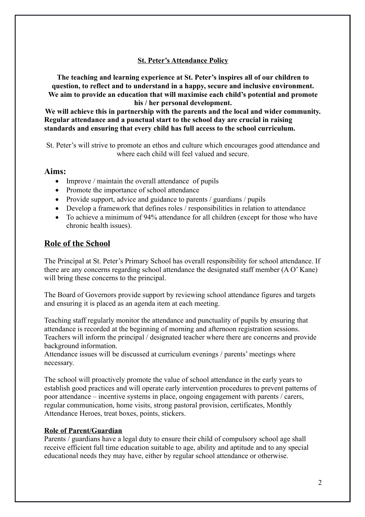#### **St. Peter's Attendance Policy**

**The teaching and learning experience at St. Peter's inspires all of our children to question, to reflect and to understand in a happy, secure and inclusive environment. We aim to provide an education that will maximise each child's potential and promote his / her personal development.**

**We will achieve this in partnership with the parents and the local and wider community. Regular attendance and a punctual start to the school day are crucial in raising standards and ensuring that every child has full access to the school curriculum.**

St. Peter's will strive to promote an ethos and culture which encourages good attendance and where each child will feel valued and secure.

#### **Aims:**

- Improve / maintain the overall attendance of pupils
- Promote the importance of school attendance
- Provide support, advice and guidance to parents / guardians / pupils
- Develop a framework that defines roles / responsibilities in relation to attendance
- To achieve a minimum of 94% attendance for all children (except for those who have chronic health issues).

## **Role of the School**

The Principal at St. Peter's Primary School has overall responsibility for school attendance. If there are any concerns regarding school attendance the designated staff member (A O' Kane) will bring these concerns to the principal.

The Board of Governors provide support by reviewing school attendance figures and targets and ensuring it is placed as an agenda item at each meeting.

Teaching staff regularly monitor the attendance and punctuality of pupils by ensuring that attendance is recorded at the beginning of morning and afternoon registration sessions. Teachers will inform the principal / designated teacher where there are concerns and provide background information.

Attendance issues will be discussed at curriculum evenings / parents' meetings where necessary.

The school will proactively promote the value of school attendance in the early years to establish good practices and will operate early intervention procedures to prevent patterns of poor attendance – incentive systems in place, ongoing engagement with parents / carers, regular communication, home visits, strong pastoral provision, certificates, Monthly Attendance Heroes, treat boxes, points, stickers.

#### **Role of Parent/Guardian**

Parents / guardians have a legal duty to ensure their child of compulsory school age shall receive efficient full time education suitable to age, ability and aptitude and to any special educational needs they may have, either by regular school attendance or otherwise.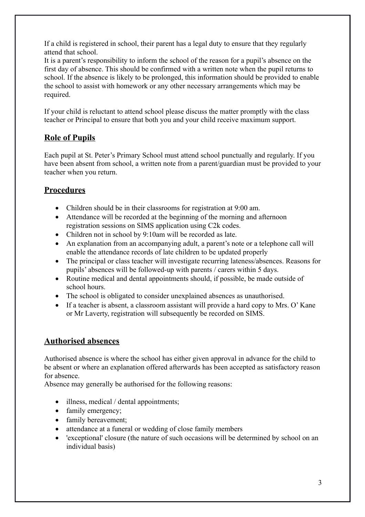If a child is registered in school, their parent has a legal duty to ensure that they regularly attend that school.

It is a parent's responsibility to inform the school of the reason for a pupil's absence on the first day of absence. This should be confirmed with a written note when the pupil returns to school. If the absence is likely to be prolonged, this information should be provided to enable the school to assist with homework or any other necessary arrangements which may be required.

If your child is reluctant to attend school please discuss the matter promptly with the class teacher or Principal to ensure that both you and your child receive maximum support.

# **Role of Pupils**

Each pupil at St. Peter's Primary School must attend school punctually and regularly. If you have been absent from school, a written note from a parent/guardian must be provided to your teacher when you return.

# **Procedures**

- Children should be in their classrooms for registration at 9:00 am.
- Attendance will be recorded at the beginning of the morning and afternoon registration sessions on SIMS application using C2k codes.
- Children not in school by 9:10am will be recorded as late.
- An explanation from an accompanying adult, a parent's note or a telephone call will enable the attendance records of late children to be updated properly
- The principal or class teacher will investigate recurring lateness/absences. Reasons for pupils' absences will be followed-up with parents / carers within 5 days.
- Routine medical and dental appointments should, if possible, be made outside of school hours.
- The school is obligated to consider unexplained absences as unauthorised.
- If a teacher is absent, a classroom assistant will provide a hard copy to Mrs. O' Kane or Mr Laverty, registration will subsequently be recorded on SIMS.

# **Authorised absences**

Authorised absence is where the school has either given approval in advance for the child to be absent or where an explanation offered afterwards has been accepted as satisfactory reason for absence.

Absence may generally be authorised for the following reasons:

- illness, medical / dental appointments;
- family emergency;
- family bereavement;
- attendance at a funeral or wedding of close family members
- 'exceptional' closure (the nature of such occasions will be determined by school on an individual basis)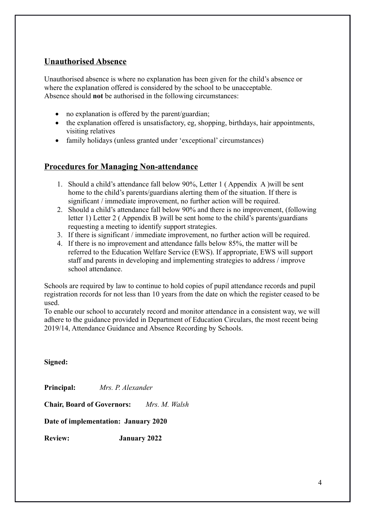# **Unauthorised Absence**

Unauthorised absence is where no explanation has been given for the child's absence or where the explanation offered is considered by the school to be unacceptable. Absence should **not** be authorised in the following circumstances:

- no explanation is offered by the parent/guardian;
- the explanation offered is unsatisfactory, eg, shopping, birthdays, hair appointments, visiting relatives
- family holidays (unless granted under 'exceptional' circumstances)

## **Procedures for Managing Non-attendance**

- 1. Should a child's attendance fall below 90%, Letter 1 ( Appendix A )will be sent home to the child's parents/guardians alerting them of the situation. If there is significant / immediate improvement, no further action will be required.
- 2. Should a child's attendance fall below 90% and there is no improvement, (following letter 1) Letter 2 ( Appendix B )will be sent home to the child's parents/guardians requesting a meeting to identify support strategies.
- 3. If there is significant / immediate improvement, no further action will be required.
- 4. If there is no improvement and attendance falls below 85%, the matter will be referred to the Education Welfare Service (EWS). If appropriate, EWS will support staff and parents in developing and implementing strategies to address / improve school attendance.

Schools are required by law to continue to hold copies of pupil attendance records and pupil registration records for not less than 10 years from the date on which the register ceased to be used.

To enable our school to accurately record and monitor attendance in a consistent way, we will adhere to the guidance provided in Department of Education Circulars, the most recent being 2019/14, Attendance Guidance and Absence Recording by Schools.

**Signed:**

**Principal:** *Mrs. P. Alexander*

**Chair, Board of Governors:** *Mrs. M. Walsh* 

**Date of implementation: January 2020**

**Review: January 2022**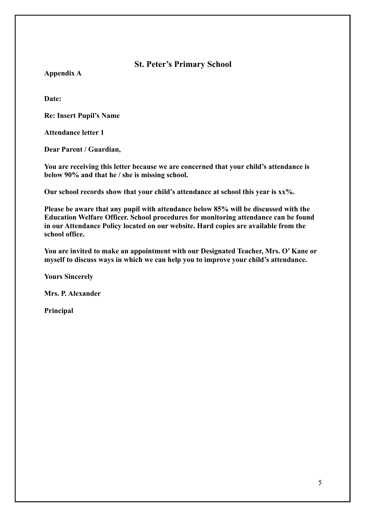**St. Peter's Primary School**

**Appendix A**

**Date:**

**Re: Insert Pupil's Name**

**Attendance letter 1**

**Dear Parent / Guardian,**

**You are receiving this letter because we are concerned that your child's attendance is below 90% and that he / she is missing school.**

**Our school records show that your child's attendance at school this year is xx%.**

**Please be aware that any pupil with attendance below 85% will be discussed with the Education Welfare Officer. School procedures for monitoring attendance can be found in our Attendance Policy located on our website. Hard copies are available from the school office.**

**You are invited to make an appointment with our Designated Teacher, Mrs. O' Kane or myself to discuss ways in which we can help you to improve your child's attendance.**

**Yours Sincerely**

**Mrs. P. Alexander**

**Principal**